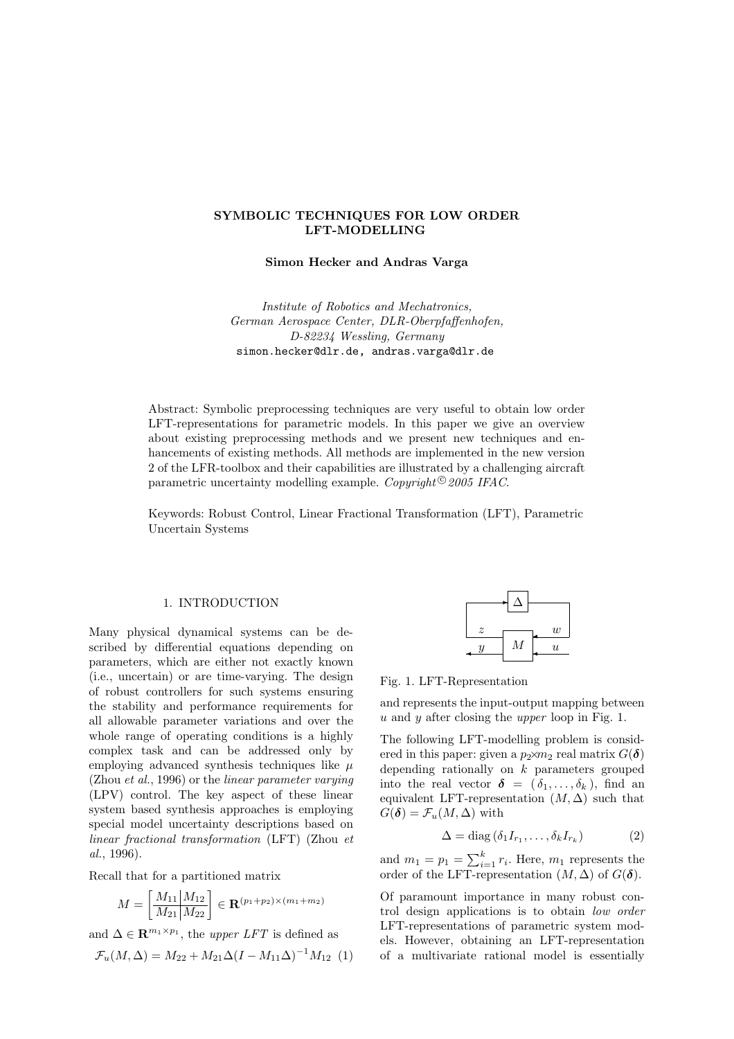# SYMBOLIC TECHNIQUES FOR LOW ORDER LFT-MODELLING

Simon Hecker and Andras Varga

Institute of Robotics and Mechatronics, German Aerospace Center, DLR-Oberpfaffenhofen, D-82234 Wessling, Germany simon.hecker@dlr.de, andras.varga@dlr.de

Abstract: Symbolic preprocessing techniques are very useful to obtain low order LFT-representations for parametric models. In this paper we give an overview about existing preprocessing methods and we present new techniques and enhancements of existing methods. All methods are implemented in the new version 2 of the LFR-toolbox and their capabilities are illustrated by a challenging aircraft parametric uncertainty modelling example. Copyright<sup>©</sup> 2005 IFAC.

Keywords: Robust Control, Linear Fractional Transformation (LFT), Parametric Uncertain Systems

# 1. INTRODUCTION

Many physical dynamical systems can be described by differential equations depending on parameters, which are either not exactly known (i.e., uncertain) or are time-varying. The design of robust controllers for such systems ensuring the stability and performance requirements for all allowable parameter variations and over the whole range of operating conditions is a highly complex task and can be addressed only by employing advanced synthesis techniques like  $\mu$ (Zhou et al., 1996) or the linear parameter varying (LPV) control. The key aspect of these linear system based synthesis approaches is employing special model uncertainty descriptions based on linear fractional transformation (LFT) (Zhou et al., 1996).

Recall that for a partitioned matrix

$$
M = \left[\frac{M_{11} | M_{12}}{M_{21} | M_{22}}\right] \in \mathbf{R}^{(p_1 + p_2) \times (m_1 + m_2)}
$$

and  $\Delta \in \mathbb{R}^{m_1 \times p_1}$ , the *upper LFT* is defined as

$$
\mathcal{F}_u(M,\Delta) = M_{22} + M_{21}\Delta(I - M_{11}\Delta)^{-1}M_{12} \tag{1}
$$

| $\tilde{z}$               |   | w                |  |
|---------------------------|---|------------------|--|
| $\boldsymbol{\mathit{u}}$ | М | $\boldsymbol{u}$ |  |
|                           |   |                  |  |

Fig. 1. LFT-Representation

and represents the input-output mapping between  $u$  and  $y$  after closing the *upper* loop in Fig. 1.

The following LFT-modelling problem is considered in this paper: given a  $p_2 \times m_2$  real matrix  $G(\boldsymbol{\delta})$ depending rationally on  $k$  parameters grouped into the real vector  $\boldsymbol{\delta} = (\delta_1, \ldots, \delta_k)$ , find an equivalent LFT-representation  $(M, \Delta)$  such that  $G(\boldsymbol{\delta}) = \mathcal{F}_u(M, \Delta)$  with

$$
\Delta = \text{diag}\left(\delta_1 I_{r_1}, \dots, \delta_k I_{r_k}\right) \tag{2}
$$

and  $m_1 = p_1 = \sum_{i=1}^k r_i$ . Here,  $m_1$  represents the order of the LFT-representation  $(M, \Delta)$  of  $G(\delta)$ .

Of paramount importance in many robust control design applications is to obtain low order LFT-representations of parametric system models. However, obtaining an LFT-representation of a multivariate rational model is essentially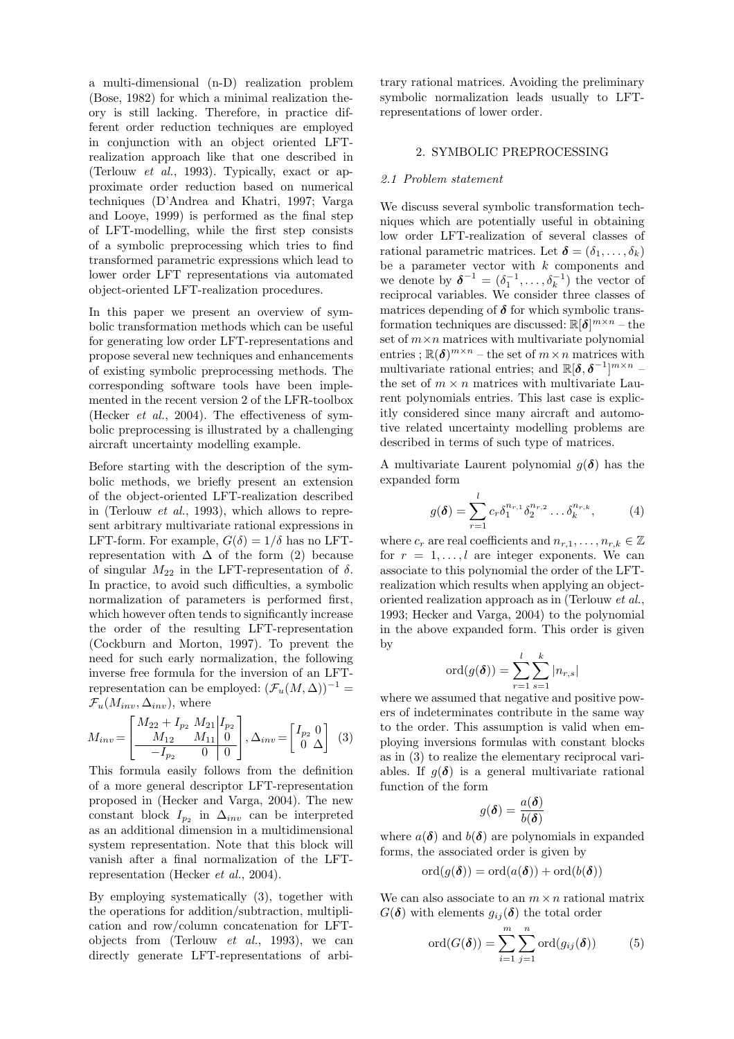a multi-dimensional (n-D) realization problem (Bose, 1982) for which a minimal realization theory is still lacking. Therefore, in practice different order reduction techniques are employed in conjunction with an object oriented LFTrealization approach like that one described in (Terlouw et al., 1993). Typically, exact or approximate order reduction based on numerical techniques (D'Andrea and Khatri, 1997; Varga and Looye, 1999) is performed as the final step of LFT-modelling, while the first step consists of a symbolic preprocessing which tries to find transformed parametric expressions which lead to lower order LFT representations via automated object-oriented LFT-realization procedures.

In this paper we present an overview of symbolic transformation methods which can be useful for generating low order LFT-representations and propose several new techniques and enhancements of existing symbolic preprocessing methods. The corresponding software tools have been implemented in the recent version 2 of the LFR-toolbox (Hecker et al., 2004). The effectiveness of symbolic preprocessing is illustrated by a challenging aircraft uncertainty modelling example.

Before starting with the description of the symbolic methods, we briefly present an extension of the object-oriented LFT-realization described in (Terlouw et al., 1993), which allows to represent arbitrary multivariate rational expressions in LFT-form. For example,  $G(\delta) = 1/\delta$  has no LFTrepresentation with  $\Delta$  of the form (2) because of singular  $M_{22}$  in the LFT-representation of  $\delta$ . In practice, to avoid such difficulties, a symbolic normalization of parameters is performed first, which however often tends to significantly increase the order of the resulting LFT-representation (Cockburn and Morton, 1997). To prevent the need for such early normalization, the following inverse free formula for the inversion of an LFTrepresentation can be employed:  $(\mathcal{F}_u(M,\Delta))^{-1} =$  $\mathcal{F}_u(M_{inv}, \Delta_{inv})$ , where

$$
M_{inv} = \begin{bmatrix} M_{22} + I_{p_2} & M_{21} | I_{p_2} \\ M_{12} & M_{11} | 0 \\ \hline -I_{p_2} & 0 \end{bmatrix}, \Delta_{inv} = \begin{bmatrix} I_{p_2} & 0 \\ 0 & \Delta \end{bmatrix} \tag{3}
$$

This formula easily follows from the definition of a more general descriptor LFT-representation proposed in (Hecker and Varga, 2004). The new constant block  $I_{p_2}$  in  $\Delta_{inv}$  can be interpreted as an additional dimension in a multidimensional system representation. Note that this block will vanish after a final normalization of the LFTrepresentation (Hecker et al., 2004).

By employing systematically (3), together with the operations for addition/subtraction, multiplication and row/column concatenation for LFTobjects from (Terlouw et al., 1993), we can directly generate LFT-representations of arbitrary rational matrices. Avoiding the preliminary symbolic normalization leads usually to LFTrepresentations of lower order.

## 2. SYMBOLIC PREPROCESSING

#### 2.1 Problem statement

We discuss several symbolic transformation techniques which are potentially useful in obtaining low order LFT-realization of several classes of rational parametric matrices. Let  $\boldsymbol{\delta} = (\delta_1, \ldots, \delta_k)$ be a parameter vector with  $k$  components and we denote by  $\boldsymbol{\delta}^{-1} = (\delta_1^{-1}, \dots, \delta_k^{-1})$  the vector of reciprocal variables. We consider three classes of matrices depending of  $\delta$  for which symbolic transformation techniques are discussed:  $\mathbb{R}[\delta]^{m \times n}$  – the set of  $m \times n$  matrices with multivariate polynomial entries;  $\mathbb{R}(\boldsymbol{\delta})^{m \times n}$  – the set of  $m \times n$  matrices with multivariate rational entries; and  $\mathbb{R}[\delta, \delta^{-1}]^{m \times n}$  – the set of  $m \times n$  matrices with multivariate Laurent polynomials entries. This last case is explicitly considered since many aircraft and automotive related uncertainty modelling problems are described in terms of such type of matrices.

A multivariate Laurent polynomial  $g(\delta)$  has the expanded form

$$
g(\boldsymbol{\delta}) = \sum_{r=1}^{l} c_r \delta_1^{n_{r,1}} \delta_2^{n_{r,2}} \dots \delta_k^{n_{r,k}},
$$
 (4)

where  $c_r$  are real coefficients and  $n_{r,1}, \ldots, n_{r,k} \in \mathbb{Z}$ for  $r = 1, \ldots, l$  are integer exponents. We can associate to this polynomial the order of the LFTrealization which results when applying an objectoriented realization approach as in (Terlouw et al., 1993; Hecker and Varga, 2004) to the polynomial in the above expanded form. This order is given by

$$
ord(g(\boldsymbol{\delta})) = \sum_{r=1}^{l} \sum_{s=1}^{k} |n_{r,s}|
$$

where we assumed that negative and positive powers of indeterminates contribute in the same way to the order. This assumption is valid when employing inversions formulas with constant blocks as in (3) to realize the elementary reciprocal variables. If  $q(\delta)$  is a general multivariate rational function of the form  $\overline{\mathcal{L}}$ 

$$
g(\boldsymbol{\delta}) = \frac{a(\boldsymbol{\delta})}{b(\boldsymbol{\delta})}
$$

where  $a(\delta)$  and  $b(\delta)$  are polynomials in expanded forms, the associated order is given by

$$
\mathrm{ord}(g(\boldsymbol{\delta}))=\mathrm{ord}(a(\boldsymbol{\delta}))+\mathrm{ord}(b(\boldsymbol{\delta}))
$$

We can also associate to an  $m \times n$  rational matrix  $G(\boldsymbol{\delta})$  with elements  $g_{ij}(\boldsymbol{\delta})$  the total order

$$
\text{ord}(G(\boldsymbol{\delta})) = \sum_{i=1}^{m} \sum_{j=1}^{n} \text{ord}(g_{ij}(\boldsymbol{\delta})) \qquad (5)
$$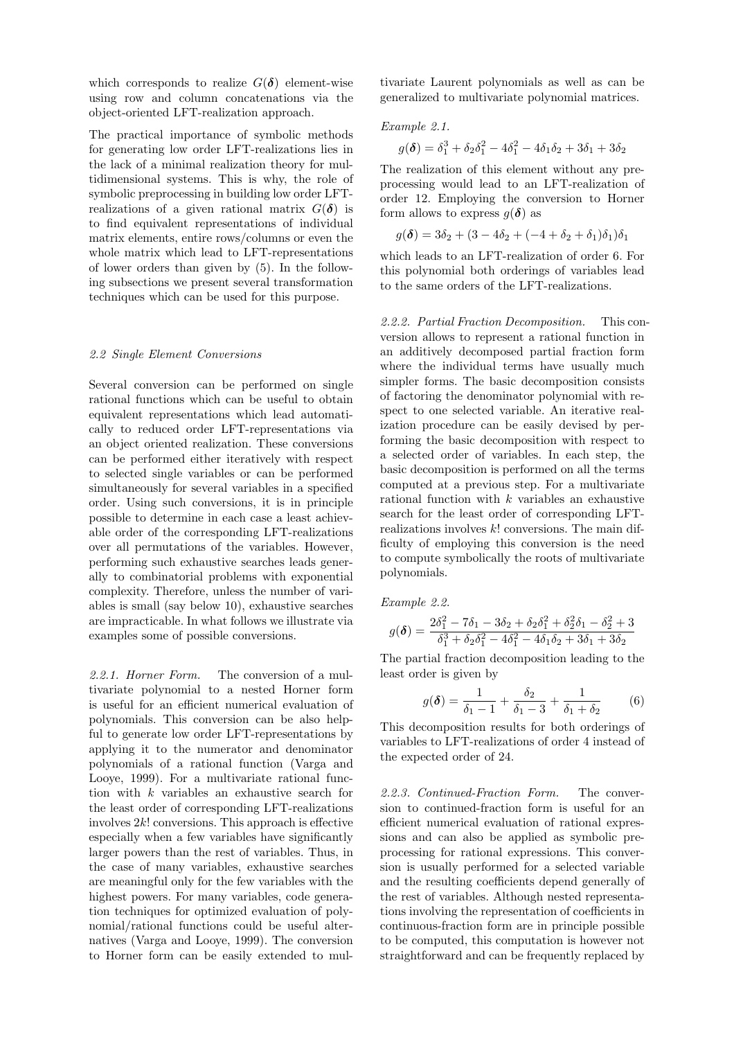which corresponds to realize  $G(\boldsymbol{\delta})$  element-wise using row and column concatenations via the object-oriented LFT-realization approach.

The practical importance of symbolic methods for generating low order LFT-realizations lies in the lack of a minimal realization theory for multidimensional systems. This is why, the role of symbolic preprocessing in building low order LFTrealizations of a given rational matrix  $G(\delta)$  is to find equivalent representations of individual matrix elements, entire rows/columns or even the whole matrix which lead to LFT-representations of lower orders than given by (5). In the following subsections we present several transformation techniques which can be used for this purpose.

# 2.2 Single Element Conversions

Several conversion can be performed on single rational functions which can be useful to obtain equivalent representations which lead automatically to reduced order LFT-representations via an object oriented realization. These conversions can be performed either iteratively with respect to selected single variables or can be performed simultaneously for several variables in a specified order. Using such conversions, it is in principle possible to determine in each case a least achievable order of the corresponding LFT-realizations over all permutations of the variables. However, performing such exhaustive searches leads generally to combinatorial problems with exponential complexity. Therefore, unless the number of variables is small (say below 10), exhaustive searches are impracticable. In what follows we illustrate via examples some of possible conversions.

2.2.1. Horner Form. The conversion of a multivariate polynomial to a nested Horner form is useful for an efficient numerical evaluation of polynomials. This conversion can be also helpful to generate low order LFT-representations by applying it to the numerator and denominator polynomials of a rational function (Varga and Looye, 1999). For a multivariate rational function with k variables an exhaustive search for the least order of corresponding LFT-realizations involves 2k! conversions. This approach is effective especially when a few variables have significantly larger powers than the rest of variables. Thus, in the case of many variables, exhaustive searches are meaningful only for the few variables with the highest powers. For many variables, code generation techniques for optimized evaluation of polynomial/rational functions could be useful alternatives (Varga and Looye, 1999). The conversion to Horner form can be easily extended to multivariate Laurent polynomials as well as can be generalized to multivariate polynomial matrices.

## Example 2.1.

$$
g(\delta) = \delta_1^3 + \delta_2 \delta_1^2 - 4\delta_1^2 - 4\delta_1 \delta_2 + 3\delta_1 + 3\delta_2
$$

The realization of this element without any preprocessing would lead to an LFT-realization of order 12. Employing the conversion to Horner form allows to express  $q(\delta)$  as

$$
g(\delta) = 3\delta_2 + (3 - 4\delta_2 + (-4 + \delta_2 + \delta_1)\delta_1)\delta_1
$$

which leads to an LFT-realization of order 6. For this polynomial both orderings of variables lead to the same orders of the LFT-realizations.

2.2.2. Partial Fraction Decomposition. This conversion allows to represent a rational function in an additively decomposed partial fraction form where the individual terms have usually much simpler forms. The basic decomposition consists of factoring the denominator polynomial with respect to one selected variable. An iterative realization procedure can be easily devised by performing the basic decomposition with respect to a selected order of variables. In each step, the basic decomposition is performed on all the terms computed at a previous step. For a multivariate rational function with k variables an exhaustive search for the least order of corresponding LFTrealizations involves  $k!$  conversions. The main difficulty of employing this conversion is the need to compute symbolically the roots of multivariate polynomials.

## Example 2.2.

$$
g(\boldsymbol{\delta}) = \frac{2\delta_1^2 - 7\delta_1 - 3\delta_2 + \delta_2\delta_1^2 + \delta_2^2\delta_1 - \delta_2^2 + 3}{\delta_1^3 + \delta_2\delta_1^2 - 4\delta_1^2 - 4\delta_1\delta_2 + 3\delta_1 + 3\delta_2}
$$

The partial fraction decomposition leading to the least order is given by

$$
g(\boldsymbol{\delta}) = \frac{1}{\delta_1 - 1} + \frac{\delta_2}{\delta_1 - 3} + \frac{1}{\delta_1 + \delta_2} \tag{6}
$$

This decomposition results for both orderings of variables to LFT-realizations of order 4 instead of the expected order of 24.

2.2.3. Continued-Fraction Form. The conversion to continued-fraction form is useful for an efficient numerical evaluation of rational expressions and can also be applied as symbolic preprocessing for rational expressions. This conversion is usually performed for a selected variable and the resulting coefficients depend generally of the rest of variables. Although nested representations involving the representation of coefficients in continuous-fraction form are in principle possible to be computed, this computation is however not straightforward and can be frequently replaced by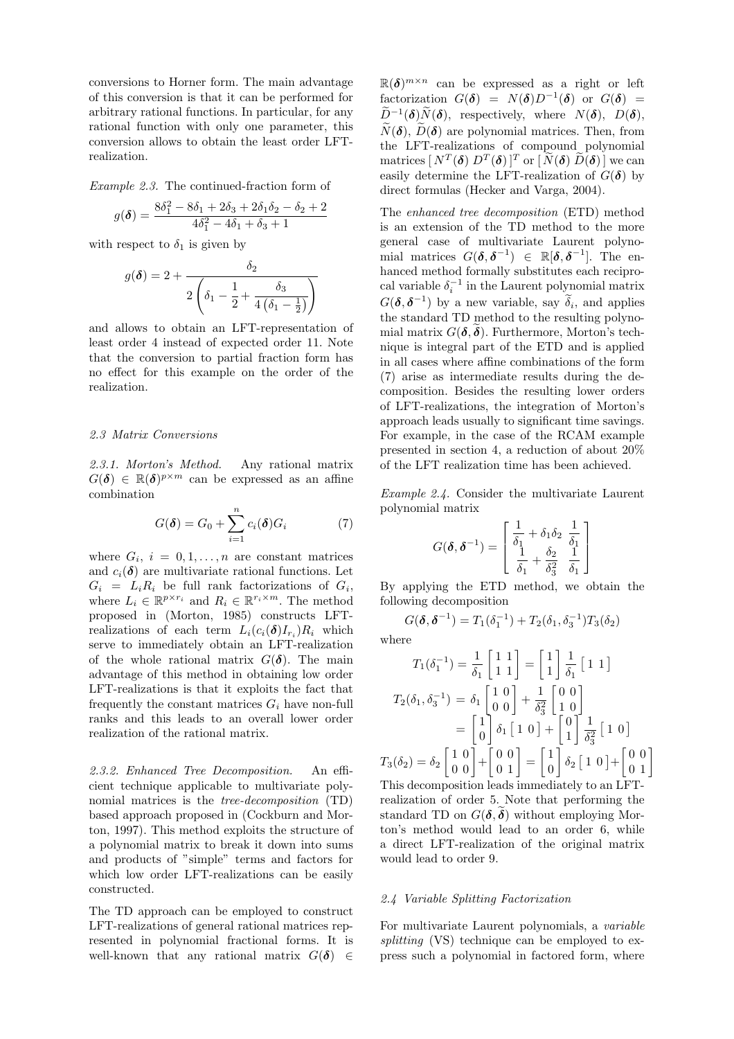conversions to Horner form. The main advantage of this conversion is that it can be performed for arbitrary rational functions. In particular, for any rational function with only one parameter, this conversion allows to obtain the least order LFTrealization.

Example 2.3. The continued-fraction form of

$$
g(\boldsymbol{\delta}) = \frac{8\delta_1^2 - 8\delta_1 + 2\delta_3 + 2\delta_1\delta_2 - \delta_2 + 2}{4\delta_1^2 - 4\delta_1 + \delta_3 + 1}
$$

with respect to  $\delta_1$  is given by

$$
g(\boldsymbol{\delta}) = 2 + \frac{\delta_2}{2\left(\delta_1 - \frac{1}{2} + \frac{\delta_3}{4\left(\delta_1 - \frac{1}{2}\right)}\right)}
$$

and allows to obtain an LFT-representation of least order 4 instead of expected order 11. Note that the conversion to partial fraction form has no effect for this example on the order of the realization.

#### 2.3 Matrix Conversions

2.3.1. Morton's Method. Any rational matrix  $G(\boldsymbol{\delta}) \in \mathbb{R}(\boldsymbol{\delta})^{p \times m}$  can be expressed as an affine combination

$$
G(\boldsymbol{\delta}) = G_0 + \sum_{i=1}^{n} c_i(\boldsymbol{\delta}) G_i \tag{7}
$$

where  $G_i$ ,  $i = 0, 1, \ldots, n$  are constant matrices and  $c_i(\boldsymbol{\delta})$  are multivariate rational functions. Let  $G_i = L_i R_i$  be full rank factorizations of  $G_i$ , where  $L_i \in \mathbb{R}^{p \times r_i}$  and  $R_i \in \mathbb{R}^{r_i \times m}$ . The method proposed in (Morton, 1985) constructs LFTrealizations of each term  $L_i(c_i(\delta)I_{r_i})R_i$  which serve to immediately obtain an LFT-realization of the whole rational matrix  $G(\boldsymbol{\delta})$ . The main advantage of this method in obtaining low order LFT-realizations is that it exploits the fact that frequently the constant matrices  $G_i$  have non-full ranks and this leads to an overall lower order realization of the rational matrix.

2.3.2. Enhanced Tree Decomposition. An efficient technique applicable to multivariate polynomial matrices is the tree-decomposition (TD) based approach proposed in (Cockburn and Morton, 1997). This method exploits the structure of a polynomial matrix to break it down into sums and products of "simple" terms and factors for which low order LFT-realizations can be easily constructed.

The TD approach can be employed to construct LFT-realizations of general rational matrices represented in polynomial fractional forms. It is well-known that any rational matrix  $G(\delta) \in$ 

 $\mathbb{R}(\delta)^{m \times n}$  can be expressed as a right or left factorization  $G(\delta) = N(\delta)D^{-1}(\delta)$  or  $G(\delta) =$  $\widetilde{\mathcal{D}}^{-1}(\boldsymbol{\delta})\widetilde{\mathcal{N}}(\boldsymbol{\delta}), \ \ \text{respectively,} \ \ \text{where} \ \ \mathcal{N}(\boldsymbol{\delta}), \ \ \mathcal{D}(\boldsymbol{\delta}),$  $\widetilde{N}(\boldsymbol{\delta})$ ,  $\widetilde{D}(\boldsymbol{\delta})$  are polynomial matrices. Then, from the LFT-realizations of compound polynomial matrices  $[\, N^T(\boldsymbol{\delta})\; D^T(\boldsymbol{\delta})\,]^T \text{ or } [\, \widetilde{N}(\boldsymbol{\delta})\; \widetilde{D}(\boldsymbol{\delta})\,]$  we can easily determine the LFT-realization of  $G(\delta)$  by direct formulas (Hecker and Varga, 2004).

The enhanced tree decomposition (ETD) method is an extension of the TD method to the more general case of multivariate Laurent polynomial matrices  $G(\boldsymbol{\delta}, \boldsymbol{\delta}^{-1}) \in \mathbb{R}[\boldsymbol{\delta}, \boldsymbol{\delta}^{-1}]$ . The enhanced method formally substitutes each reciprocal variable  $\delta_i^{-1}$  in the Laurent polynomial matrix  $G(\boldsymbol{\delta}, \boldsymbol{\delta}^{-1})$  by a new variable, say  $\widetilde{\delta}_i$ , and applies the standard TD method to the resulting polynomial matrix  $G(\delta, \delta)$ . Furthermore, Morton's technique is integral part of the ETD and is applied in all cases where affine combinations of the form (7) arise as intermediate results during the decomposition. Besides the resulting lower orders of LFT-realizations, the integration of Morton's approach leads usually to significant time savings. For example, in the case of the RCAM example presented in section 4, a reduction of about 20% of the LFT realization time has been achieved.

Example 2.4. Consider the multivariate Laurent polynomial matrix

$$
G(\boldsymbol{\delta},\boldsymbol{\delta}^{-1})=\left[\begin{array}{c} \frac{1}{\delta_1}+\delta_1\delta_2 & \frac{1}{\delta_1} \\ \frac{1}{\delta_1}+\frac{\delta_2}{\delta_3^2} & \frac{1}{\delta_1} \end{array}\right]
$$

By applying the ETD method, we obtain the following decomposition

$$
G(\delta, \delta^{-1}) = T_1(\delta_1^{-1}) + T_2(\delta_1, \delta_3^{-1})T_3(\delta_2)
$$

where

$$
T_1(\delta_1^{-1}) = \frac{1}{\delta_1} \begin{bmatrix} 1 & 1 \\ 1 & 1 \end{bmatrix} = \begin{bmatrix} 1 \\ 1 \end{bmatrix} \frac{1}{\delta_1} [1 \ 1]
$$
  
\n
$$
T_2(\delta_1, \delta_3^{-1}) = \delta_1 \begin{bmatrix} 1 & 0 \\ 0 & 0 \end{bmatrix} + \frac{1}{\delta_3^2} \begin{bmatrix} 0 & 0 \\ 1 & 0 \end{bmatrix}
$$
  
\n
$$
= \begin{bmatrix} 1 \\ 0 \end{bmatrix} \delta_1 [1 \ 0] + \begin{bmatrix} 0 \\ 1 \end{bmatrix} \frac{1}{\delta_3^2} [1 \ 0]
$$
  
\n
$$
T_3(\delta_2) = \delta_2 \begin{bmatrix} 1 & 0 \\ 0 & 0 \end{bmatrix} + \begin{bmatrix} 0 & 0 \\ 0 & 1 \end{bmatrix} = \begin{bmatrix} 1 \\ 0 \end{bmatrix} \delta_2 [1 \ 0] + \begin{bmatrix} 0 & 0 \\ 0 & 1 \end{bmatrix}
$$

This decomposition leads immediately to an LFTrealization of order 5. Note that performing the standard TD on  $G(\boldsymbol{\delta}, \boldsymbol{\delta})$  without employing Morton's method would lead to an order 6, while a direct LFT-realization of the original matrix would lead to order 9.

#### 2.4 Variable Splitting Factorization

For multivariate Laurent polynomials, a variable splitting (VS) technique can be employed to express such a polynomial in factored form, where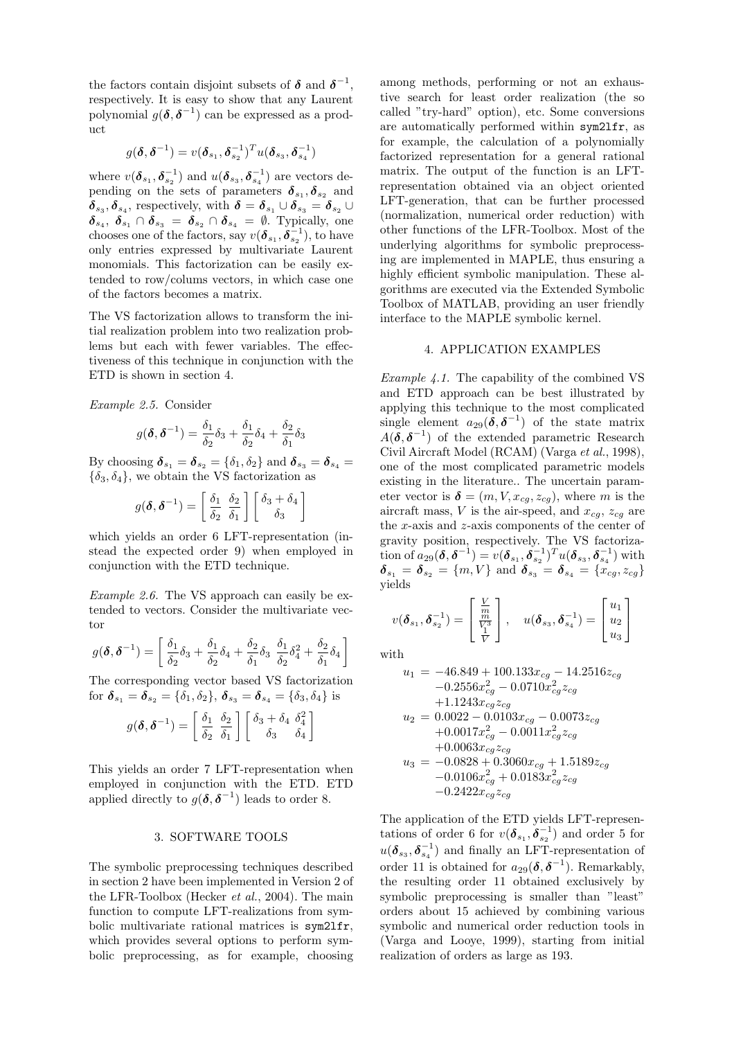the factors contain disjoint subsets of  $\delta$  and  $\delta^{-1}$ , respectively. It is easy to show that any Laurent polynomial  $g(\boldsymbol{\delta}, \boldsymbol{\delta}^{-1})$  can be expressed as a product

$$
g(\boldsymbol{\delta},\boldsymbol{\delta}^{-1})=v(\boldsymbol{\delta}_{s_1},\boldsymbol{\delta}_{s_2}^{-1})^T u(\boldsymbol{\delta}_{s_3},\boldsymbol{\delta}_{s_4}^{-1})
$$

where  $v(\boldsymbol{\delta}_{s_1},\boldsymbol{\delta}_{s_2}^{-1})$  and  $u(\boldsymbol{\delta}_{s_3},\boldsymbol{\delta}_{s_4}^{-1})$  are vectors depending on the sets of parameters  $\delta_{s_1}, \delta_{s_2}$  and  $\boldsymbol{\delta}_{s_3}, \boldsymbol{\delta}_{s_4}$ , respectively, with  $\boldsymbol{\delta} = \boldsymbol{\delta}_{s_1} \cup \boldsymbol{\delta}_{s_3} = \boldsymbol{\delta}_{s_2} \cup$  $\delta_{s_4}, \ \delta_{s_1} \cap \delta_{s_3} = \delta_{s_2} \cap \delta_{s_4} = \emptyset$ . Typically, one chooses one of the factors, say  $v(\boldsymbol{\delta}_{s_1}, \boldsymbol{\delta}_{s_2}^{-1}),$  to have only entries expressed by multivariate Laurent monomials. This factorization can be easily extended to row/colums vectors, in which case one of the factors becomes a matrix.

The VS factorization allows to transform the initial realization problem into two realization problems but each with fewer variables. The effectiveness of this technique in conjunction with the ETD is shown in section 4.

Example 2.5. Consider

$$
g(\boldsymbol{\delta},\boldsymbol{\delta}^{-1}) = \frac{\delta_1}{\delta_2}\delta_3 + \frac{\delta_1}{\delta_2}\delta_4 + \frac{\delta_2}{\delta_1}\delta_3
$$

By choosing  $\boldsymbol{\delta}_{s_1} = \boldsymbol{\delta}_{s_2} = \{\delta_1, \delta_2\}$  and  $\boldsymbol{\delta}_{s_3} = \boldsymbol{\delta}_{s_4} =$  $\{\delta_3, \delta_4\}$ , we obtain the VS factorization as

$$
g(\boldsymbol{\delta}, \boldsymbol{\delta}^{-1}) = \left[\begin{array}{cc} \delta_1 & \delta_2 \\ \delta_2 & \delta_1 \end{array}\right] \left[\begin{array}{c} \delta_3 + \delta_4 \\ \delta_3 \end{array}\right]
$$

which yields an order 6 LFT-representation (instead the expected order 9) when employed in conjunction with the ETD technique.

Example 2.6. The VS approach can easily be extended to vectors. Consider the multivariate vector

$$
g(\boldsymbol{\delta},\boldsymbol{\delta}^{-1})=\left[\frac{\delta_1}{\delta_2}\delta_3+\frac{\delta_1}{\delta_2}\delta_4+\frac{\delta_2}{\delta_1}\delta_3\ \frac{\delta_1}{\delta_2}\delta_4^2+\frac{\delta_2}{\delta_1}\delta_4\ \right]
$$

The corresponding vector based VS factorization for  $\boldsymbol{\delta}_{s_1} = \boldsymbol{\delta}_{s_2} = \{\delta_1, \delta_2\}, \, \boldsymbol{\delta}_{s_3} = \boldsymbol{\delta}_{s_4} = \{\delta_3, \delta_4\}$  is

$$
g(\boldsymbol{\delta}, \boldsymbol{\delta}^{-1}) = \begin{bmatrix} \frac{\delta_1}{\delta_2} & \frac{\delta_2}{\delta_1} \end{bmatrix} \begin{bmatrix} \delta_3 + \delta_4 & \delta_4^2 \\ \delta_3 & \delta_4 \end{bmatrix}
$$

This yields an order 7 LFT-representation when employed in conjunction with the ETD. ETD applied directly to  $g(\boldsymbol{\delta}, \boldsymbol{\delta}^{-1})$  leads to order 8.

### 3. SOFTWARE TOOLS

The symbolic preprocessing techniques described in section 2 have been implemented in Version 2 of the LFR-Toolbox (Hecker et al., 2004). The main function to compute LFT-realizations from symbolic multivariate rational matrices is sym2lfr, which provides several options to perform symbolic preprocessing, as for example, choosing among methods, performing or not an exhaustive search for least order realization (the so called "try-hard" option), etc. Some conversions are automatically performed within sym2lfr, as for example, the calculation of a polynomially factorized representation for a general rational matrix. The output of the function is an LFTrepresentation obtained via an object oriented LFT-generation, that can be further processed (normalization, numerical order reduction) with other functions of the LFR-Toolbox. Most of the underlying algorithms for symbolic preprocessing are implemented in MAPLE, thus ensuring a highly efficient symbolic manipulation. These algorithms are executed via the Extended Symbolic Toolbox of MATLAB, providing an user friendly interface to the MAPLE symbolic kernel.

## 4. APPLICATION EXAMPLES

Example 4.1. The capability of the combined VS and ETD approach can be best illustrated by applying this technique to the most complicated single element  $a_{29}(\delta, \delta^{-1})$  of the state matrix  $A(\boldsymbol{\delta}, \boldsymbol{\delta}^{-1})$  of the extended parametric Research Civil Aircraft Model (RCAM) (Varga et al., 1998), one of the most complicated parametric models existing in the literature.. The uncertain parameter vector is  $\boldsymbol{\delta} = (m, V, x_{cg}, z_{cg})$ , where m is the aircraft mass, V is the air-speed, and  $x_{ca}$ ,  $z_{ca}$  are the x-axis and z-axis components of the center of gravity position, respectively. The VS factorization of  $a_{29}(\boldsymbol{\delta},\boldsymbol{\delta}^{-1})=v(\boldsymbol{\delta}_{s_1},\boldsymbol{\delta}_{s_2}^{-1})^T u(\boldsymbol{\delta}_{s_3},\boldsymbol{\delta}_{s_4}^{-1})$  with  $\boldsymbol{\delta}_{s_1} = \boldsymbol{\delta}_{s_2} = \{m, V\}$  and  $\boldsymbol{\delta}_{s_3} = \boldsymbol{\delta}_{s_4} = \{x_{cg}, z_{cg}\}$ yields

$$
v(\boldsymbol{\delta}_{s_1},\boldsymbol{\delta}_{s_2}^{-1}) = \begin{bmatrix} \frac{V}{m} \\ \frac{W}{V^3} \end{bmatrix}, \quad u(\boldsymbol{\delta}_{s_3},\boldsymbol{\delta}_{s_4}^{-1}) = \begin{bmatrix} u_1 \\ u_2 \\ u_3 \end{bmatrix}
$$

with

$$
\begin{array}{rcl} u_1=&-46.849+100.133 x_{cg} -14.2516 z_{cg} \\&-0.2556 x_{cg}^2 -0.0710 x_{cg}^2 z_{cg} \\&+1.1243 x_{cg} z_{cg} \\ u_2=&0.0022-0.0103 x_{cg} -0.0073 z_{cg} \\&+0.0017 x_{cg}^2 -0.0011 x_{cg}^2 z_{cg} \\&+0.0063 x_{cg} z_{cg} \\ u_3=&-0.0828+0.3060 x_{cg} +1.5189 z_{cg} \\&-0.0106 x_{cg}^2 +0.0183 x_{cg}^2 z_{cg} \\&-0.2422 x_{cg} z_{cg} \end{array}
$$

The application of the ETD yields LFT-representations of order 6 for  $v(\boldsymbol{\delta}_{s_1},\boldsymbol{\delta}_{s_2}^{-1})$  and order 5 for  $u(\boldsymbol{\delta}_{s_3},\boldsymbol{\delta}_{s_4}^{-1})$  and finally an LFT-representation of order 11 is obtained for  $a_{29}(\delta, \delta^{-1})$ . Remarkably, the resulting order 11 obtained exclusively by symbolic preprocessing is smaller than "least" orders about 15 achieved by combining various symbolic and numerical order reduction tools in (Varga and Looye, 1999), starting from initial realization of orders as large as 193.